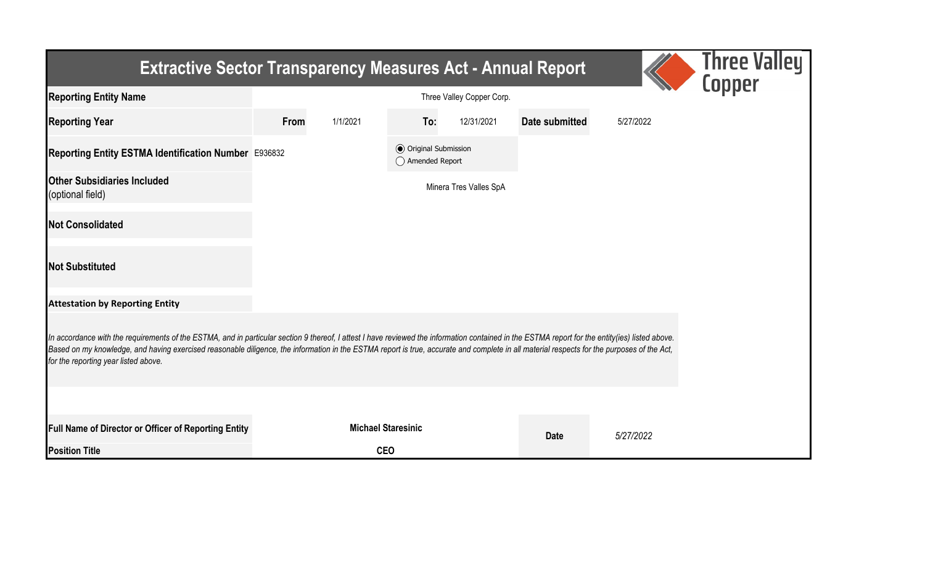| <b>Extractive Sector Transparency Measures Act - Annual Report</b>                                                                                                                                                                                                                                                                                                                                                                    |      |                           |                                                  |                        |                |           | Three Valley<br>Copper |  |  |  |
|---------------------------------------------------------------------------------------------------------------------------------------------------------------------------------------------------------------------------------------------------------------------------------------------------------------------------------------------------------------------------------------------------------------------------------------|------|---------------------------|--------------------------------------------------|------------------------|----------------|-----------|------------------------|--|--|--|
| <b>Reporting Entity Name</b>                                                                                                                                                                                                                                                                                                                                                                                                          |      |                           |                                                  |                        |                |           |                        |  |  |  |
| <b>Reporting Year</b>                                                                                                                                                                                                                                                                                                                                                                                                                 | From | 1/1/2021                  | To:                                              | 12/31/2021             | Date submitted | 5/27/2022 |                        |  |  |  |
| Reporting Entity ESTMA Identification Number E936832                                                                                                                                                                                                                                                                                                                                                                                  |      |                           | <b>◎</b> Original Submission<br>◯ Amended Report |                        |                |           |                        |  |  |  |
| <b>Other Subsidiaries Included</b><br>(optional field)                                                                                                                                                                                                                                                                                                                                                                                |      |                           |                                                  | Minera Tres Valles SpA |                |           |                        |  |  |  |
| <b>Not Consolidated</b>                                                                                                                                                                                                                                                                                                                                                                                                               |      |                           |                                                  |                        |                |           |                        |  |  |  |
| <b>Not Substituted</b>                                                                                                                                                                                                                                                                                                                                                                                                                |      |                           |                                                  |                        |                |           |                        |  |  |  |
| <b>Attestation by Reporting Entity</b>                                                                                                                                                                                                                                                                                                                                                                                                |      |                           |                                                  |                        |                |           |                        |  |  |  |
| In accordance with the requirements of the ESTMA, and in particular section 9 thereof, I attest I have reviewed the information contained in the ESTMA report for the entity(ies) listed above.<br>Based on my knowledge, and having exercised reasonable diligence, the information in the ESTMA report is true, accurate and complete in all material respects for the purposes of the Act,<br>for the reporting year listed above. |      |                           |                                                  |                        |                |           |                        |  |  |  |
|                                                                                                                                                                                                                                                                                                                                                                                                                                       |      |                           |                                                  |                        |                |           |                        |  |  |  |
| Full Name of Director or Officer of Reporting Entity                                                                                                                                                                                                                                                                                                                                                                                  |      | <b>Michael Staresinic</b> |                                                  |                        | <b>Date</b>    | 5/27/2022 |                        |  |  |  |
| <b>Position Title</b>                                                                                                                                                                                                                                                                                                                                                                                                                 |      | <b>CEO</b>                |                                                  |                        |                |           |                        |  |  |  |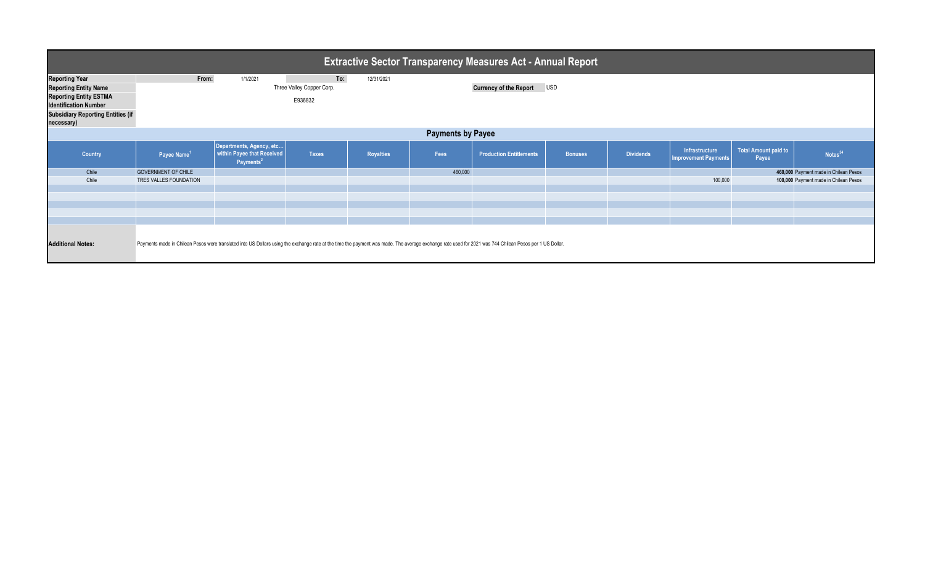| <b>Extractive Sector Transparency Measures Act - Annual Report</b>                            |                                                                                                                                                                                                         |                                                                                 |                                      |            |         |                                |                |                  |                                               |                               |                                       |
|-----------------------------------------------------------------------------------------------|---------------------------------------------------------------------------------------------------------------------------------------------------------------------------------------------------------|---------------------------------------------------------------------------------|--------------------------------------|------------|---------|--------------------------------|----------------|------------------|-----------------------------------------------|-------------------------------|---------------------------------------|
| <b>Reporting Year</b>                                                                         | From:                                                                                                                                                                                                   | 1/1/2021                                                                        | To:                                  | 12/31/2021 |         |                                |                |                  |                                               |                               |                                       |
| <b>Reporting Entity Name</b><br><b>Reporting Entity ESTMA</b><br><b>Identification Number</b> |                                                                                                                                                                                                         |                                                                                 | Three Valley Copper Corp.<br>E936832 |            |         | <b>Currency of the Report</b>  | <b>USD</b>     |                  |                                               |                               |                                       |
| <b>Subsidiary Reporting Entities (if</b><br>necessary)                                        |                                                                                                                                                                                                         |                                                                                 |                                      |            |         |                                |                |                  |                                               |                               |                                       |
| <b>Payments by Payee</b>                                                                      |                                                                                                                                                                                                         |                                                                                 |                                      |            |         |                                |                |                  |                                               |                               |                                       |
| Country                                                                                       | Payee Name <sup>1</sup>                                                                                                                                                                                 | Departments, Agency, etc<br>within Payee that Received<br>Payments <sup>2</sup> | <b>Taxes</b>                         | Royalties  | Fees    | <b>Production Entitlements</b> | <b>Bonuses</b> | <b>Dividends</b> | Infrastructure<br><b>Improvement Payments</b> | Total Amount paid to<br>Payee | Notes <sup>34</sup>                   |
| Chile                                                                                         | <b>GOVERNMENT OF CHILE</b>                                                                                                                                                                              |                                                                                 |                                      |            | 460,000 |                                |                |                  |                                               |                               | 460,000 Payment made in Chilean Pesos |
| Chile                                                                                         | TRES VALLES FOUNDATION                                                                                                                                                                                  |                                                                                 |                                      |            |         |                                |                |                  | 100,000                                       |                               | 100,000 Payment made in Chilean Pesos |
|                                                                                               |                                                                                                                                                                                                         |                                                                                 |                                      |            |         |                                |                |                  |                                               |                               |                                       |
|                                                                                               |                                                                                                                                                                                                         |                                                                                 |                                      |            |         |                                |                |                  |                                               |                               |                                       |
|                                                                                               |                                                                                                                                                                                                         |                                                                                 |                                      |            |         |                                |                |                  |                                               |                               |                                       |
|                                                                                               |                                                                                                                                                                                                         |                                                                                 |                                      |            |         |                                |                |                  |                                               |                               |                                       |
| <b>Additional Notes:</b>                                                                      | Payments made in Chilean Pesos were translated into US Dollars using the exchange rate at the time the payment was made. The average exchange rate used for 2021 was 744 Chilean Pesos per 1 US Dollar. |                                                                                 |                                      |            |         |                                |                |                  |                                               |                               |                                       |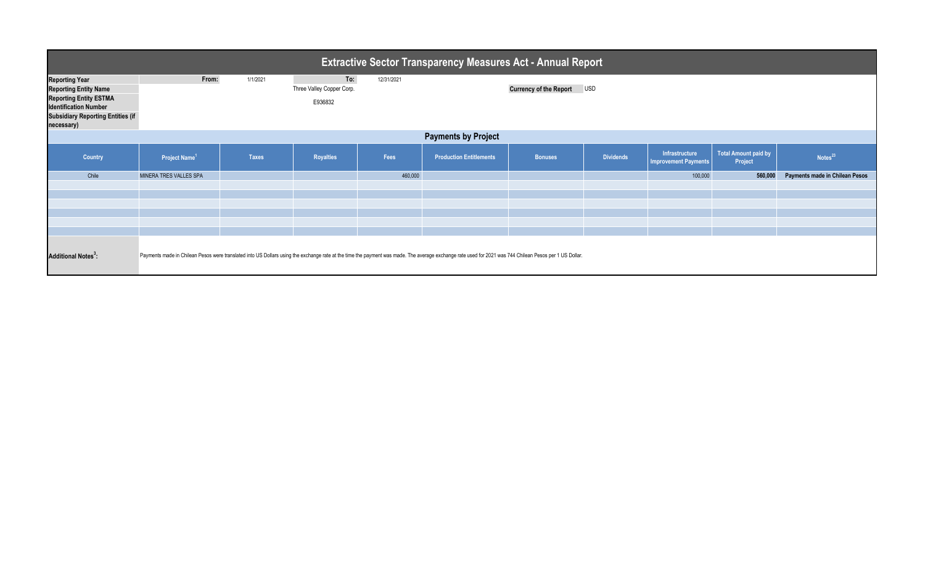| <b>Extractive Sector Transparency Measures Act - Annual Report</b>                                                                                                               |                           |              |                                             |            |                                                                                                                                                                                                         |                               |                  |                                               |                                        |                                |  |
|----------------------------------------------------------------------------------------------------------------------------------------------------------------------------------|---------------------------|--------------|---------------------------------------------|------------|---------------------------------------------------------------------------------------------------------------------------------------------------------------------------------------------------------|-------------------------------|------------------|-----------------------------------------------|----------------------------------------|--------------------------------|--|
| <b>Reporting Year</b><br><b>Reporting Entity Name</b><br><b>Reporting Entity ESTMA</b><br><b>Identification Number</b><br><b>Subsidiary Reporting Entities (if</b><br>necessary) | From:                     | 1/1/2021     | To:<br>Three Valley Copper Corp.<br>E936832 | 12/31/2021 |                                                                                                                                                                                                         | <b>Currency of the Report</b> | <b>USD</b>       |                                               |                                        |                                |  |
| <b>Payments by Project</b>                                                                                                                                                       |                           |              |                                             |            |                                                                                                                                                                                                         |                               |                  |                                               |                                        |                                |  |
| Country                                                                                                                                                                          | Project Name <sup>1</sup> | <b>Taxes</b> | <b>Royalties</b>                            | Fees       | <b>Production Entitlements</b>                                                                                                                                                                          | <b>Bonuses</b>                | <b>Dividends</b> | Infrastructure<br><b>Improvement Payments</b> | <b>Total Amount paid by</b><br>Project | Notes <sup>23</sup>            |  |
| Chile                                                                                                                                                                            | MINERA TRES VALLES SPA    |              |                                             | 460,000    |                                                                                                                                                                                                         |                               |                  | 100,000                                       | 560,000                                | Payments made in Chilean Pesos |  |
|                                                                                                                                                                                  |                           |              |                                             |            |                                                                                                                                                                                                         |                               |                  |                                               |                                        |                                |  |
|                                                                                                                                                                                  |                           |              |                                             |            |                                                                                                                                                                                                         |                               |                  |                                               |                                        |                                |  |
| <b>Additional Notes<sup>3</sup>:</b>                                                                                                                                             |                           |              |                                             |            | Payments made in Chilean Pesos were translated into US Dollars using the exchange rate at the time the payment was made. The average exchange rate used for 2021 was 744 Chilean Pesos per 1 US Dollar. |                               |                  |                                               |                                        |                                |  |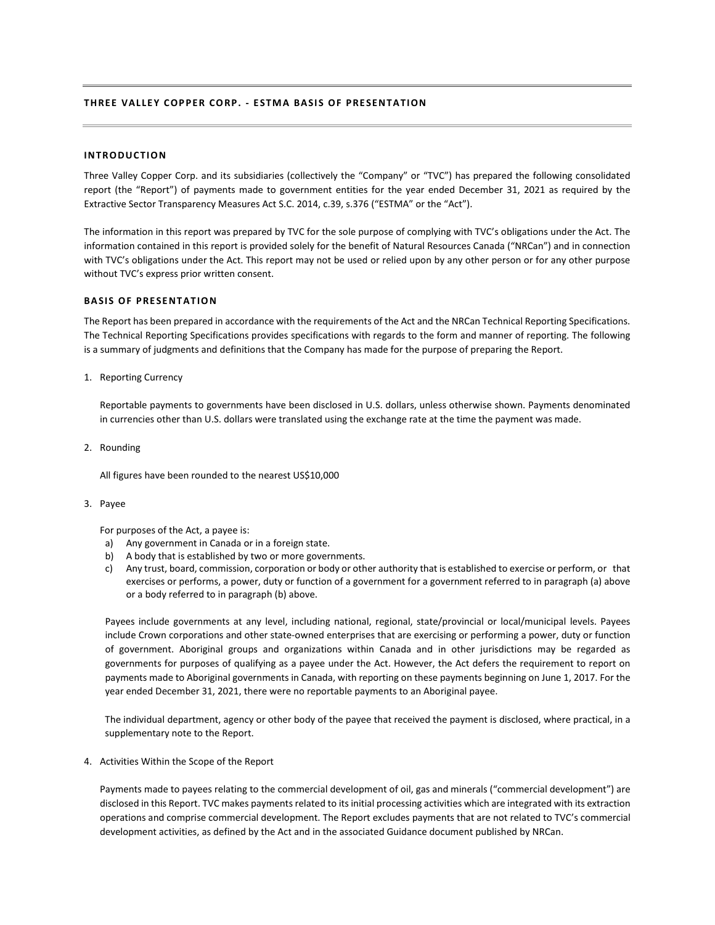## **THREE VALLEY COPPER CORP. - ESTMA BASIS OF PRESENTATION**

### **INTRODUCTION**

Three Valley Copper Corp. and its subsidiaries (collectively the "Company" or "TVC") has prepared the following consolidated report (the "Report") of payments made to government entities for the year ended December 31, 2021 as required by the Extractive Sector Transparency Measures Act S.C. 2014, c.39, s.376 ("ESTMA" or the "Act").

The information in this report was prepared by TVC for the sole purpose of complying with TVC's obligations under the Act. The information contained in this report is provided solely for the benefit of Natural Resources Canada ("NRCan") and in connection with TVC's obligations under the Act. This report may not be used or relied upon by any other person or for any other purpose without TVC's express prior written consent.

### **BASIS OF PRESENTATION**

The Report has been prepared in accordance with the requirements of the Act and the NRCan Technical Reporting Specifications. The Technical Reporting Specifications provides specifications with regards to the form and manner of reporting. The following is a summary of judgments and definitions that the Company has made for the purpose of preparing the Report.

1. Reporting Currency

Reportable payments to governments have been disclosed in U.S. dollars, unless otherwise shown. Payments denominated in currencies other than U.S. dollars were translated using the exchange rate at the time the payment was made.

2. Rounding

All figures have been rounded to the nearest US\$10,000

#### 3. Payee

For purposes of the Act, a payee is:

- a) Any government in Canada or in a foreign state.
- b) A body that is established by two or more governments.
- c) Any trust, board, commission, corporation or body or other authority that is established to exercise or perform, or that exercises or performs, a power, duty or function of a government for a government referred to in paragraph (a) above or a body referred to in paragraph (b) above.

Payees include governments at any level, including national, regional, state/provincial or local/municipal levels. Payees include Crown corporations and other state-owned enterprises that are exercising or performing a power, duty or function of government. Aboriginal groups and organizations within Canada and in other jurisdictions may be regarded as governments for purposes of qualifying as a payee under the Act. However, the Act defers the requirement to report on payments made to Aboriginal governments in Canada, with reporting on these payments beginning on June 1, 2017. For the year ended December 31, 2021, there were no reportable payments to an Aboriginal payee.

The individual department, agency or other body of the payee that received the payment is disclosed, where practical, in a supplementary note to the Report.

4. Activities Within the Scope of the Report

Payments made to payees relating to the commercial development of oil, gas and minerals ("commercial development") are disclosed in this Report. TVC makes payments related to its initial processing activities which are integrated with its extraction operations and comprise commercial development. The Report excludes payments that are not related to TVC's commercial development activities, as defined by the Act and in the associated Guidance document published by NRCan.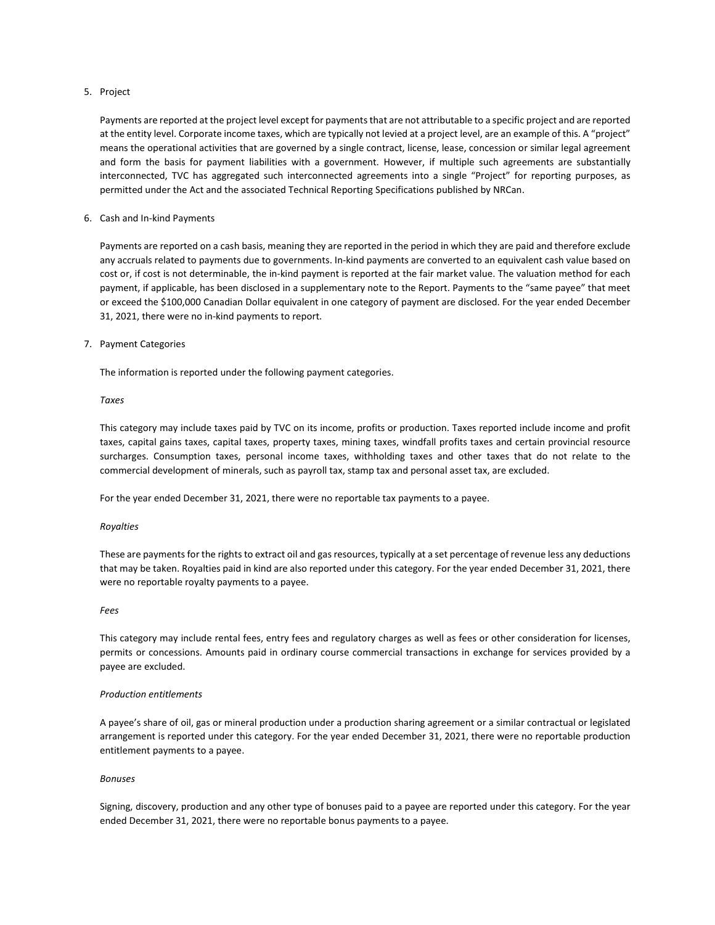### 5. Project

Payments are reported at the project level except for payments that are not attributable to a specific project and are reported at the entity level. Corporate income taxes, which are typically not levied at a project level, are an example of this. A "project" means the operational activities that are governed by a single contract, license, lease, concession or similar legal agreement and form the basis for payment liabilities with a government. However, if multiple such agreements are substantially interconnected, TVC has aggregated such interconnected agreements into a single "Project" for reporting purposes, as permitted under the Act and the associated Technical Reporting Specifications published by NRCan.

### 6. Cash and In-kind Payments

Payments are reported on a cash basis, meaning they are reported in the period in which they are paid and therefore exclude any accruals related to payments due to governments. In-kind payments are converted to an equivalent cash value based on cost or, if cost is not determinable, the in-kind payment is reported at the fair market value. The valuation method for each payment, if applicable, has been disclosed in a supplementary note to the Report. Payments to the "same payee" that meet or exceed the \$100,000 Canadian Dollar equivalent in one category of payment are disclosed. For the year ended December 31, 2021, there were no in-kind payments to report.

### 7. Payment Categories

The information is reported under the following payment categories.

### *Taxes*

This category may include taxes paid by TVC on its income, profits or production. Taxes reported include income and profit taxes, capital gains taxes, capital taxes, property taxes, mining taxes, windfall profits taxes and certain provincial resource surcharges. Consumption taxes, personal income taxes, withholding taxes and other taxes that do not relate to the commercial development of minerals, such as payroll tax, stamp tax and personal asset tax, are excluded.

For the year ended December 31, 2021, there were no reportable tax payments to a payee.

### *Royalties*

These are payments for the rights to extract oil and gas resources, typically at a set percentage of revenue less any deductions that may be taken. Royalties paid in kind are also reported under this category. For the year ended December 31, 2021, there were no reportable royalty payments to a payee.

### *Fees*

This category may include rental fees, entry fees and regulatory charges as well as fees or other consideration for licenses, permits or concessions. Amounts paid in ordinary course commercial transactions in exchange for services provided by a payee are excluded.

### *Production entitlements*

A payee's share of oil, gas or mineral production under a production sharing agreement or a similar contractual or legislated arrangement is reported under this category. For the year ended December 31, 2021, there were no reportable production entitlement payments to a payee.

### *Bonuses*

Signing, discovery, production and any other type of bonuses paid to a payee are reported under this category. For the year ended December 31, 2021, there were no reportable bonus payments to a payee.